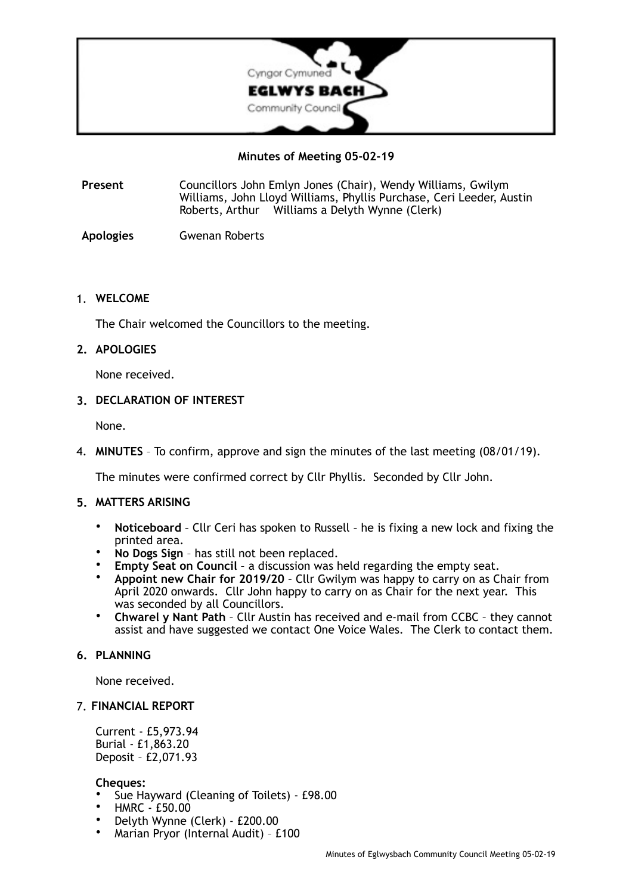

**Minutes of Meeting 05-02-19** 

**Present** Councillors John Emlyn Jones (Chair), Wendy Williams, Gwilym Williams, John Lloyd Williams, Phyllis Purchase, Ceri Leeder, Austin Roberts, Arthur Williams a Delyth Wynne (Clerk)

**Apologies** Gwenan Roberts

## 1. **WELCOME**

The Chair welcomed the Councillors to the meeting.

### **2. APOLOGIES**

None received.

### **3. DECLARATION OF INTEREST**

None.

4. **MINUTES** – To confirm, approve and sign the minutes of the last meeting (08/01/19).

The minutes were confirmed correct by Cllr Phyllis. Seconded by Cllr John.

#### **5. MATTERS ARISING**

- **Noticeboard** Cllr Ceri has spoken to Russell he is fixing a new lock and fixing the printed area.
- **No Dogs Sign** has still not been replaced.
- **Empty Seat on Council** a discussion was held regarding the empty seat.
- **Appoint new Chair for 2019/20** Cllr Gwilym was happy to carry on as Chair from April 2020 onwards. Cllr John happy to carry on as Chair for the next year. This was seconded by all Councillors.
- **Chwarel y Nant Path** Cllr Austin has received and e-mail from CCBC they cannot assist and have suggested we contact One Voice Wales. The Clerk to contact them.

#### **6. PLANNING**

None received.

#### 7. **FINANCIAL REPORT**

Current - £5,973.94 Burial - £1,863.20 Deposit – £2,071.93

#### **Cheques:**

- Sue Hayward (Cleaning of Toilets) £98.00
- HMRC £50.00
- Delyth Wynne (Clerk) £200.00
- Marian Pryor (Internal Audit) £100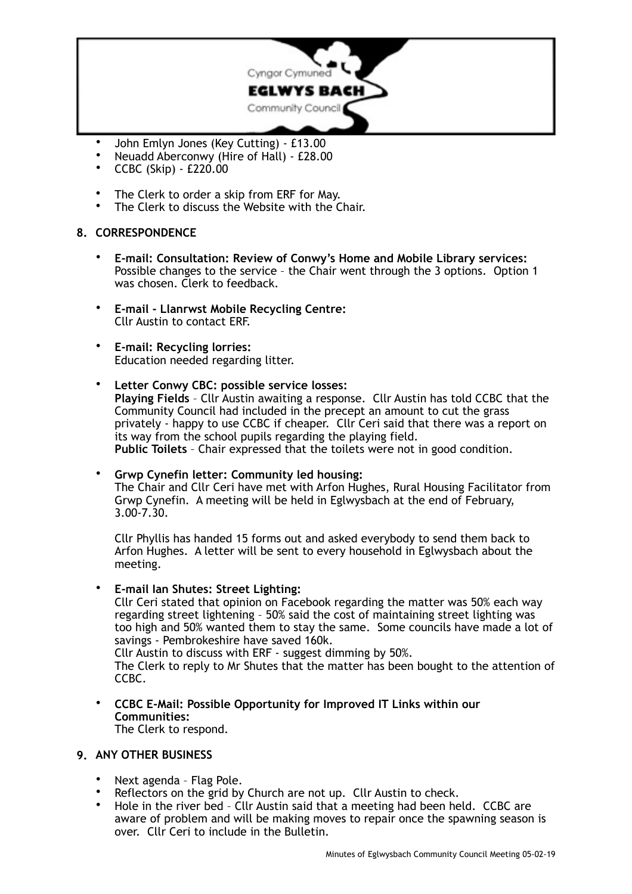

- John Emlyn Jones (Key Cutting) £13.00<br>• Neuadd Abersonwy (Hire of Hall) £28.00
- Neuadd Aberconwy (Hire of Hall) £28.00<br>•  $CRR (Skin) f220.00$
- CCBC (Skip) £220.00
- The Clerk to order a skip from ERF for May.
- The Clerk to discuss the Website with the Chair.

## **8. CORRESPONDENCE**

- **E-mail: Consultation: Review of Conwy's Home and Mobile Library services:**  Possible changes to the service – the Chair went through the 3 options. Option 1 was chosen. Clerk to feedback.
- **E-mail Llanrwst Mobile Recycling Centre:** Cllr Austin to contact ERF.
- **E-mail: Recycling lorries:**  Education needed regarding litter.
- **Letter Conwy CBC: possible service losses: Playing Fields** – Cllr Austin awaiting a response. Cllr Austin has told CCBC that the Community Council had included in the precept an amount to cut the grass privately - happy to use CCBC if cheaper. Cllr Ceri said that there was a report on its way from the school pupils regarding the playing field. **Public Toilets** – Chair expressed that the toilets were not in good condition.

• **Grwp Cynefin letter: Community led housing:** The Chair and Cllr Ceri have met with Arfon Hughes, Rural Housing Facilitator from Grwp Cynefin. A meeting will be held in Eglwysbach at the end of February, 3.00-7.30.

Cllr Phyllis has handed 15 forms out and asked everybody to send them back to Arfon Hughes. A letter will be sent to every household in Eglwysbach about the meeting.

• **E-mail Ian Shutes: Street Lighting:** 

Cllr Ceri stated that opinion on Facebook regarding the matter was 50% each way regarding street lightening – 50% said the cost of maintaining street lighting was too high and 50% wanted them to stay the same. Some councils have made a lot of savings - Pembrokeshire have saved 160k.

Cllr Austin to discuss with ERF - suggest dimming by 50%.

The Clerk to reply to Mr Shutes that the matter has been bought to the attention of CCBC.

• **CCBC E-Mail: Possible Opportunity for Improved IT Links within our Communities:** The Clerk to respond.

## **9. ANY OTHER BUSINESS**

- Next agenda Flag Pole.
- Reflectors on the grid by Church are not up. Cllr Austin to check.<br>• Hole in the river bed Cllr Austin said that a meeting had been be
- Hole in the river bed Cllr Austin said that a meeting had been held. CCBC are aware of problem and will be making moves to repair once the spawning season is over. Cllr Ceri to include in the Bulletin.